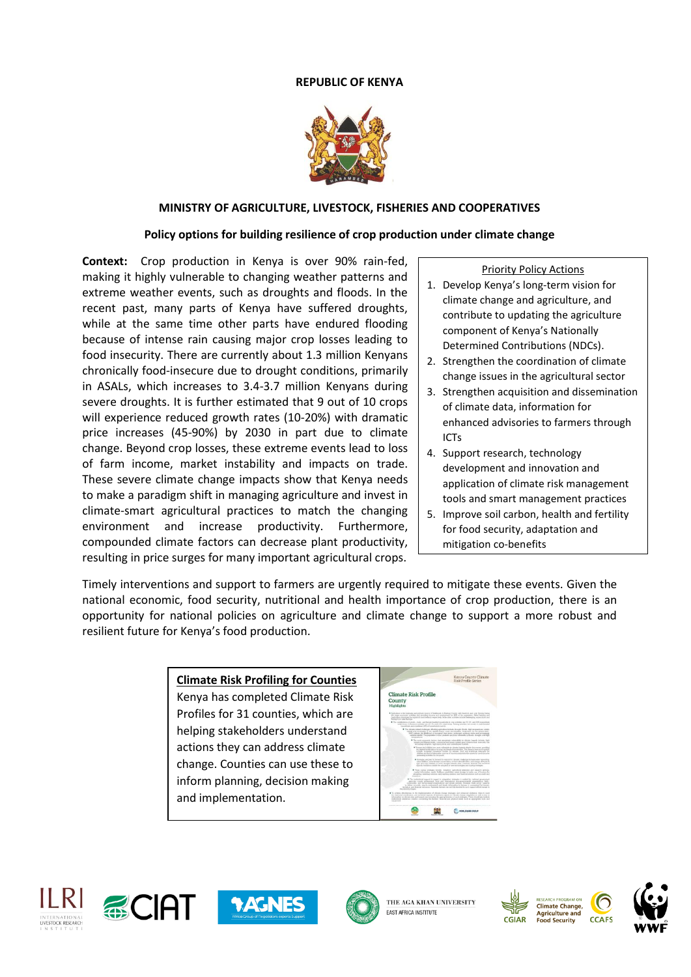# **REPUBLIC OF KENYA**



### **MINISTRY OF AGRICULTURE, LIVESTOCK, FISHERIES AND COOPERATIVES**

#### **Policy options for building resilience of crop production under climate change**

**Context:** Crop production in Kenya is over 90% rain-fed, making it highly vulnerable to changing weather patterns and extreme weather events, such as droughts and floods. In the recent past, many parts of Kenya have suffered droughts, while at the same time other parts have endured flooding because of intense rain causing major crop losses leading to food insecurity. There are currently about 1.3 million Kenyans chronically food-insecure due to drought conditions, primarily in ASALs, which increases to 3.4-3.7 million Kenyans during severe droughts. It is further estimated that 9 out of 10 crops will experience reduced growth rates (10-20%) with dramatic price increases (45-90%) by 2030 in part due to climate change. Beyond crop losses, these extreme events lead to loss of farm income, market instability and impacts on trade. These severe climate change impacts show that Kenya needs to make a paradigm shift in managing agriculture and invest in climate-smart agricultural practices to match the changing environment and increase productivity. Furthermore, compounded climate factors can decrease plant productivity, resulting in price surges for many important agricultural crops.

Priority Policy Actions

- 1. Develop Kenya's long-term vision for climate change and agriculture, and contribute to updating the agriculture component of Kenya's Nationally Determined Contributions (NDCs).
- 2. Strengthen the coordination of climate change issues in the agricultural sector
- 3. Strengthen acquisition and dissemination of climate data, information for enhanced advisories to farmers through ICTs
- 4. Support research, technology development and innovation and application of climate risk management tools and smart management practices
- 5. Improve soil carbon, health and fertility for food security, adaptation and mitigation co-benefits

Timely interventions and support to farmers are urgently required to mitigate these events. Given the national economic, food security, nutritional and health importance of crop production, there is an opportunity for national policies on agriculture and climate change to support a more robust and resilient future for Kenya's food production.

#### **Climate Risk Profiling for Counties**

Kenya has completed Climate Risk Profiles for 31 counties, which are helping stakeholders understand actions they can address climate change. Counties can use these to inform planning, decision making and implementation.











THE AGA KHAN UNIVERSITY **EAST AFRICA INSTITUTE** 





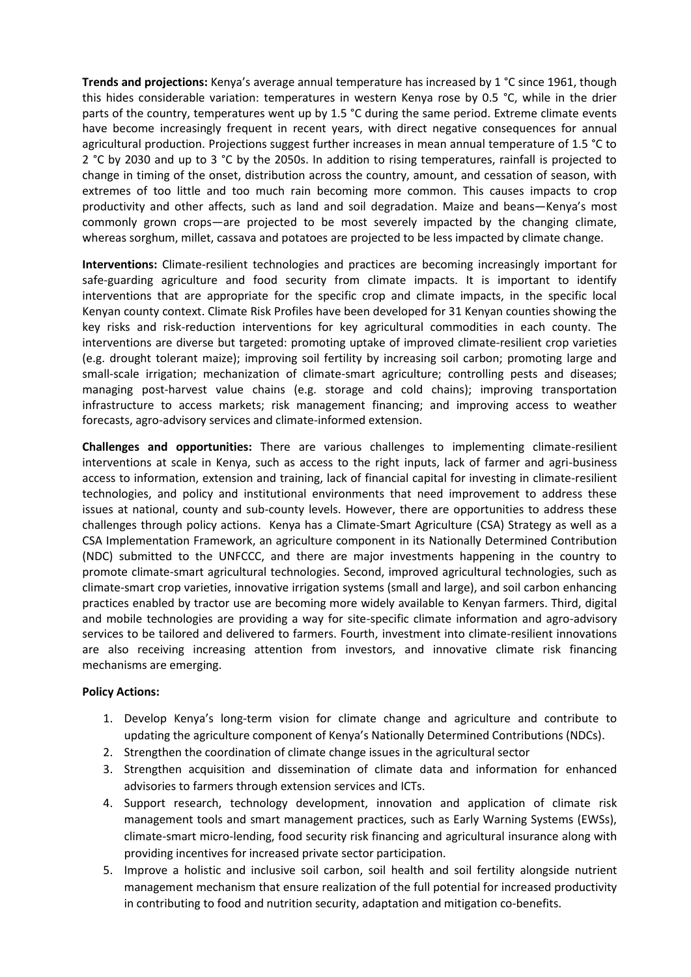**Trends and projections:** Kenya's average annual temperature has increased by 1 °C since 1961, though this hides considerable variation: temperatures in western Kenya rose by 0.5 °C, while in the drier parts of the country, temperatures went up by 1.5 °C during the same period. Extreme climate events have become increasingly frequent in recent years, with direct negative consequences for annual agricultural production. Projections suggest further increases in mean annual temperature of 1.5 °C to 2 °C by 2030 and up to 3 °C by the 2050s. In addition to rising temperatures, rainfall is projected to change in timing of the onset, distribution across the country, amount, and cessation of season, with extremes of too little and too much rain becoming more common. This causes impacts to crop productivity and other affects, such as land and soil degradation. Maize and beans—Kenya's most commonly grown crops—are projected to be most severely impacted by the changing climate, whereas sorghum, millet, cassava and potatoes are projected to be less impacted by climate change.

**Interventions:** Climate-resilient technologies and practices are becoming increasingly important for safe-guarding agriculture and food security from climate impacts. It is important to identify interventions that are appropriate for the specific crop and climate impacts, in the specific local Kenyan county context. Climate Risk Profiles have been developed for 31 Kenyan counties showing the key risks and risk-reduction interventions for key agricultural commodities in each county. The interventions are diverse but targeted: promoting uptake of improved climate-resilient crop varieties (e.g. drought tolerant maize); improving soil fertility by increasing soil carbon; promoting large and small-scale irrigation; mechanization of climate-smart agriculture; controlling pests and diseases; managing post-harvest value chains (e.g. storage and cold chains); improving transportation infrastructure to access markets; risk management financing; and improving access to weather forecasts, agro-advisory services and climate-informed extension.

**Challenges and opportunities:** There are various challenges to implementing climate-resilient interventions at scale in Kenya, such as access to the right inputs, lack of farmer and agri-business access to information, extension and training, lack of financial capital for investing in climate-resilient technologies, and policy and institutional environments that need improvement to address these issues at national, county and sub-county levels. However, there are opportunities to address these challenges through policy actions. Kenya has a Climate-Smart Agriculture (CSA) Strategy as well as a CSA Implementation Framework, an agriculture component in its Nationally Determined Contribution (NDC) submitted to the UNFCCC, and there are major investments happening in the country to promote climate-smart agricultural technologies. Second, improved agricultural technologies, such as climate-smart crop varieties, innovative irrigation systems (small and large), and soil carbon enhancing practices enabled by tractor use are becoming more widely available to Kenyan farmers. Third, digital and mobile technologies are providing a way for site-specific climate information and agro-advisory services to be tailored and delivered to farmers. Fourth, investment into climate-resilient innovations are also receiving increasing attention from investors, and innovative climate risk financing mechanisms are emerging.

## **Policy Actions:**

- 1. Develop Kenya's long-term vision for climate change and agriculture and contribute to updating the agriculture component of Kenya's Nationally Determined Contributions (NDCs).
- 2. Strengthen the coordination of climate change issues in the agricultural sector
- 3. Strengthen acquisition and dissemination of climate data and information for enhanced advisories to farmers through extension services and ICTs.
- 4. Support research, technology development, innovation and application of climate risk management tools and smart management practices, such as Early Warning Systems (EWSs), climate-smart micro-lending, food security risk financing and agricultural insurance along with providing incentives for increased private sector participation.
- 5. Improve a holistic and inclusive soil carbon, soil health and soil fertility alongside nutrient management mechanism that ensure realization of the full potential for increased productivity in contributing to food and nutrition security, adaptation and mitigation co-benefits.